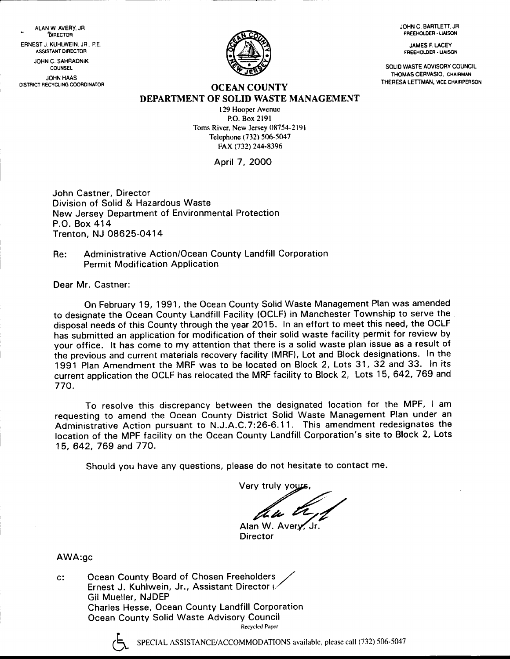JOHN C. BARTLETT. JR. FREEHOIDEF . LIAISON

JAMES F. I.ACEY FREEHOLOER .UAISON

SOLIO WASTE ADVISORY COUNCIL THOMAS CERVASIO, CHAIRMAN<br>THERESA LETTMAN, VICE CHAIRPERSON

**OCEAN COUNTY** DEPARTMENT OF SOLID WASTE MANAGEMENT

> 129 Hooper Avenue P.O. Box 2l9l Toms River. New Jersey 08754-2191 Telephone (732) 506-5047 FAX (732) 244-8396

> > April 7, 2O0O

John Castner, Director Division of Solid & Hazardous Waste New Jersey Department of Environmental Protection P.O. Box 414 Trenton, NJ 08625-O414

Re: Administrative Action/Ocean County Landfill Corporation **Permit Modification Application** 

Dear Mr. Castner:

ALAN W. AVERY, JR.<br>DIRECTOR EFNEST J. KUHLWEIN. JR., P.E. ASSISIANT OIRECTOR JOHN C. SAHRAONIK COUNSEL JOHN HAAS DISTRICT RECYCLING COORDINATOR

> On February 19, 1991, the Ocean County Solid Waste Management Plan was amended to designate the Ocean County Landfill Facility (OCLF) in Manchester Township to serve the disposal needs of this County through the year 2015. In an effort to meet this need, the OCLF has submitted an application for modification of their solid waste facility permit for review by your office. lt has come to my attention that there is a solid waste plan issue as a result of the previous and current materials recovery facility (MRF), Lot and Block designations. In the 1991 Plan Amendment the MRF was to be located on Block 2, Lots 31,32 and 33. In its current application the OCLF has relocated the MRF facility to Block 2, Lots 15, 642, 769 and 770.

> To resolve this discrepancy between the designated location for the MPF, I am requesting to amend the Ocean County District Solid Waste Management Plan under an Administrative Action pursuant to N.J.A.C.7:26-6.11. This amendment redesignates the location of the MPF facility on the Ocean County Landfill Corporation's site to Block 2, Lots 15, 642, 769 and 77O.

Should you have any questions, please do not hesitate to contact me.

Very truly you

Alan W. Avery Director

AWA:gc

c: Ocean County Board of Chosen Freeholders Ernest J. Kuhlwein, Jr., Assistant Director to Gil Mueller, NJDEP Charles Hesse, Ocean County Landfill Corporation Ocean County Solid Waste Advisory Council Recycled Paper